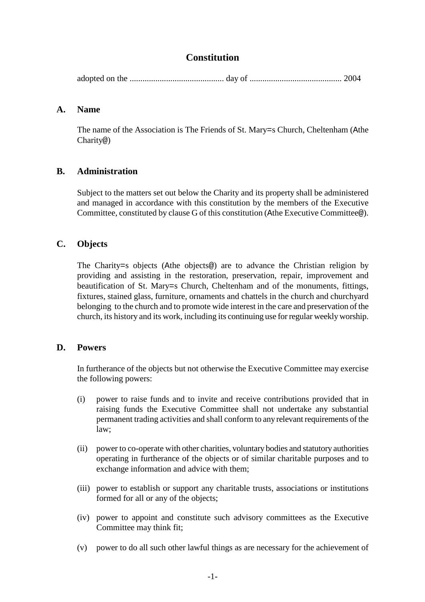# **Constitution**

adopted on the ............................................ day of ........................................... 2004

### **A. Name**

The name of the Association is The Friends of St. Mary=s Church, Cheltenham (Athe Charity@)

# **B. Administration**

Subject to the matters set out below the Charity and its property shall be administered and managed in accordance with this constitution by the members of the Executive Committee, constituted by clause G of this constitution (Athe Executive Committee@).

# **C. Objects**

The Charity=s objects (Athe objects@) are to advance the Christian religion by providing and assisting in the restoration, preservation, repair, improvement and beautification of St. Mary=s Church, Cheltenham and of the monuments, fittings, fixtures, stained glass, furniture, ornaments and chattels in the church and churchyard belonging to the church and to promote wide interest in the care and preservation of the church, its history and its work, including its continuing use for regular weeklyworship.

# **D. Powers**

In furtherance of the objects but not otherwise the Executive Committee may exercise the following powers:

- (i) power to raise funds and to invite and receive contributions provided that in raising funds the Executive Committee shall not undertake any substantial permanent trading activities and shall conform to any relevant requirements of the law;
- (ii) power to co-operate with other charities, voluntary bodies and statutory authorities operating in furtherance of the objects or of similar charitable purposes and to exchange information and advice with them;
- (iii) power to establish or support any charitable trusts, associations or institutions formed for all or any of the objects;
- (iv) power to appoint and constitute such advisory committees as the Executive Committee may think fit;
- (v) power to do all such other lawful things as are necessary for the achievement of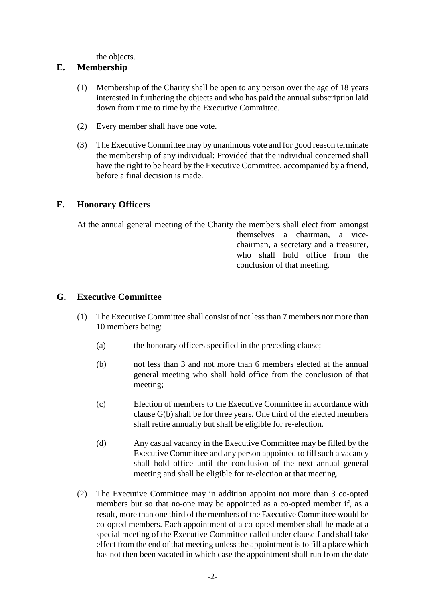the objects.

### **E. Membership**

- (1) Membership of the Charity shall be open to any person over the age of 18 years interested in furthering the objects and who has paid the annual subscription laid down from time to time by the Executive Committee.
- (2) Every member shall have one vote.
- (3) The Executive Committee may by unanimous vote and for good reason terminate the membership of any individual: Provided that the individual concerned shall have the right to be heard by the Executive Committee, accompanied by a friend, before a final decision is made.

# **F. Honorary Officers**

At the annual general meeting of the Charity the members shall elect from amongst themselves a chairman, a vicechairman, a secretary and a treasurer, who shall hold office from the conclusion of that meeting.

### **G. Executive Committee**

- (1) The Executive Committee shall consist of not lessthan 7 members nor more than 10 members being:
	- (a) the honorary officers specified in the preceding clause;
	- (b) not less than 3 and not more than 6 members elected at the annual general meeting who shall hold office from the conclusion of that meeting;
	- (c) Election of members to the Executive Committee in accordance with clause G(b) shall be for three years. One third of the elected members shall retire annually but shall be eligible for re-election.
	- (d) Any casual vacancy in the Executive Committee may be filled by the Executive Committee and any person appointed to fill such a vacancy shall hold office until the conclusion of the next annual general meeting and shall be eligible for re-election at that meeting.
- (2) The Executive Committee may in addition appoint not more than 3 co-opted members but so that no-one may be appointed as a co-opted member if, as a result, more than one third of the members of the Executive Committee would be co-opted members. Each appointment of a co-opted member shall be made at a special meeting of the Executive Committee called under clause J and shall take effect from the end of that meeting unless the appointment is to fill a place which has not then been vacated in which case the appointment shall run from the date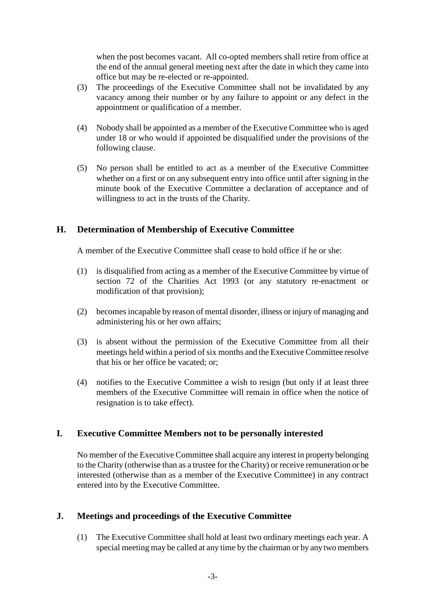when the post becomes vacant. All co-opted members shall retire from office at the end of the annual general meeting next after the date in which they came into office but may be re-elected or re-appointed.

- (3) The proceedings of the Executive Committee shall not be invalidated by any vacancy among their number or by any failure to appoint or any defect in the appointment or qualification of a member.
- (4) Nobody shall be appointed as a member of the Executive Committee who is aged under 18 or who would if appointed be disqualified under the provisions of the following clause.
- (5) No person shall be entitled to act as a member of the Executive Committee whether on a first or on any subsequent entry into office until after signing in the minute book of the Executive Committee a declaration of acceptance and of willingness to act in the trusts of the Charity.

### **H. Determination of Membership of Executive Committee**

A member of the Executive Committee shall cease to hold office if he or she:

- (1) is disqualified from acting as a member of the Executive Committee by virtue of section 72 of the Charities Act 1993 (or any statutory re-enactment or modification of that provision);
- (2) becomesincapable by reason of mental disorder, illness or injury of managing and administering his or her own affairs;
- (3) is absent without the permission of the Executive Committee from all their meetings held within a period of six months and the Executive Committee resolve that his or her office be vacated; or;
- (4) notifies to the Executive Committee a wish to resign (but only if at least three members of the Executive Committee will remain in office when the notice of resignation is to take effect).

### **I. Executive Committee Members not to be personally interested**

No member of the Executive Committee shall acquire any interest in property belonging to the Charity (otherwise than as a trustee for the Charity) or receive remuneration or be interested (otherwise than as a member of the Executive Committee) in any contract entered into by the Executive Committee.

### **J. Meetings and proceedings of the Executive Committee**

(1) The Executive Committee shall hold at least two ordinary meetings each year. A special meeting may be called at any time by the chairman or by any two members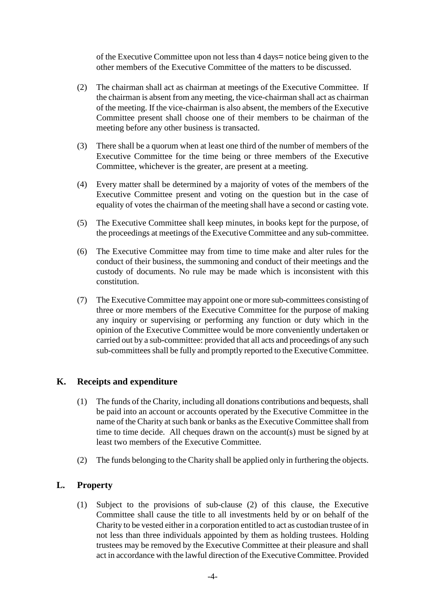of the Executive Committee upon not less than 4 days= notice being given to the other members of the Executive Committee of the matters to be discussed.

- (2) The chairman shall act as chairman at meetings of the Executive Committee. If the chairman is absent from any meeting, the vice-chairman shall act as chairman of the meeting. If the vice-chairman is also absent, the members of the Executive Committee present shall choose one of their members to be chairman of the meeting before any other business is transacted.
- (3) There shall be a quorum when at least one third of the number of members of the Executive Committee for the time being or three members of the Executive Committee, whichever is the greater, are present at a meeting.
- (4) Every matter shall be determined by a majority of votes of the members of the Executive Committee present and voting on the question but in the case of equality of votes the chairman of the meeting shall have a second or casting vote.
- (5) The Executive Committee shall keep minutes, in books kept for the purpose, of the proceedings at meetings of the Executive Committee and any sub-committee.
- (6) The Executive Committee may from time to time make and alter rules for the conduct of their business, the summoning and conduct of their meetings and the custody of documents. No rule may be made which is inconsistent with this constitution.
- (7) The Executive Committee may appoint one or more sub-committees consisting of three or more members of the Executive Committee for the purpose of making any inquiry or supervising or performing any function or duty which in the opinion of the Executive Committee would be more conveniently undertaken or carried out by a sub-committee: provided that all acts and proceedings of any such sub-committees shall be fully and promptly reported to the Executive Committee.

### **K. Receipts and expenditure**

- (1) The funds of the Charity, including all donations contributions and bequests, shall be paid into an account or accounts operated by the Executive Committee in the name of the Charity at such bank or banks as the Executive Committee shall from time to time decide. All cheques drawn on the account(s) must be signed by at least two members of the Executive Committee.
- (2) The funds belonging to the Charity shall be applied only in furthering the objects.

# **L. Property**

(1) Subject to the provisions of sub-clause (2) of this clause, the Executive Committee shall cause the title to all investments held by or on behalf of the Charity to be vested either in a corporation entitled to act as custodian trustee of in not less than three individuals appointed by them as holding trustees. Holding trustees may be removed by the Executive Committee at their pleasure and shall act in accordance with the lawful direction of the ExecutiveCommittee. Provided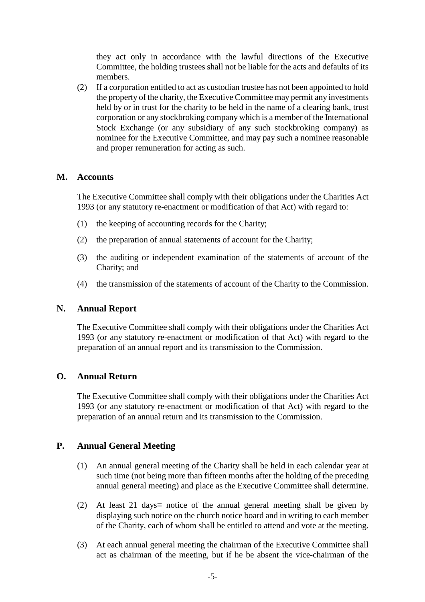they act only in accordance with the lawful directions of the Executive Committee, the holding trustees shall not be liable for the acts and defaults of its members.

(2) If a corporation entitled to act as custodian trustee has not been appointed to hold the property of the charity, the Executive Committee may permit any investments held by or in trust for the charity to be held in the name of a clearing bank, trust corporation or any stockbroking company which is a member of the International Stock Exchange (or any subsidiary of any such stockbroking company) as nominee for the Executive Committee, and may pay such a nominee reasonable and proper remuneration for acting as such.

#### **M. Accounts**

The Executive Committee shall comply with their obligations under the Charities Act 1993 (or any statutory re-enactment or modification of that Act) with regard to:

- (1) the keeping of accounting records for the Charity;
- (2) the preparation of annual statements of account for the Charity;
- (3) the auditing or independent examination of the statements of account of the Charity; and
- (4) the transmission of the statements of account of the Charity to the Commission.

### **N. Annual Report**

The Executive Committee shall comply with their obligations under the Charities Act 1993 (or any statutory re-enactment or modification of that Act) with regard to the preparation of an annual report and its transmission to the Commission.

### **O. Annual Return**

The Executive Committee shall comply with their obligations under the Charities Act 1993 (or any statutory re-enactment or modification of that Act) with regard to the preparation of an annual return and its transmission to the Commission.

### **P. Annual General Meeting**

- (1) An annual general meeting of the Charity shall be held in each calendar year at such time (not being more than fifteen months after the holding of the preceding annual general meeting) and place as the Executive Committee shall determine.
- (2) At least 21 days= notice of the annual general meeting shall be given by displaying such notice on the church notice board and in writing to each member of the Charity, each of whom shall be entitled to attend and vote at the meeting.
- (3) At each annual general meeting the chairman of the Executive Committee shall act as chairman of the meeting, but if he be absent the vice-chairman of the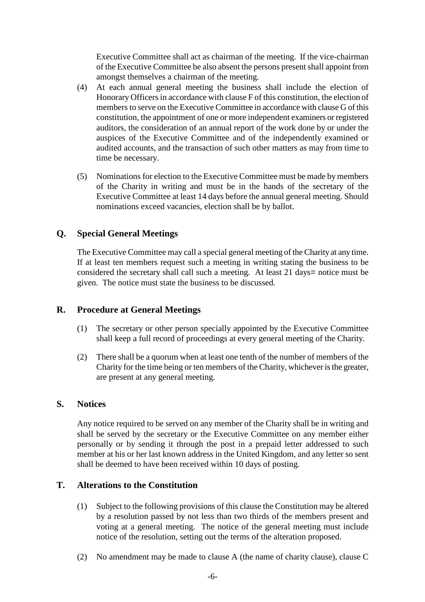Executive Committee shall act as chairman of the meeting. If the vice-chairman of the Executive Committee be also absent the persons present shall appoint from amongst themselves a chairman of the meeting.

- (4) At each annual general meeting the business shall include the election of Honorary Officers in accordance with clause F of this constitution, the election of members to serve on the Executive Committee in accordance with clause G of this constitution, the appointment of one or more independent examiners or registered auditors, the consideration of an annual report of the work done by or under the auspices of the Executive Committee and of the independently examined or audited accounts, and the transaction of such other matters as may from time to time be necessary.
- (5) Nominations for election to the Executive Committee must be made by members of the Charity in writing and must be in the hands of the secretary of the Executive Committee at least 14 days before the annual general meeting. Should nominations exceed vacancies, election shall be by ballot.

### **Q. Special General Meetings**

The Executive Committee may call a special general meeting of theCharity at any time. If at least ten members request such a meeting in writing stating the business to be considered the secretary shall call such a meeting. At least 21 days= notice must be given. The notice must state the business to be discussed.

### **R. Procedure at General Meetings**

- (1) The secretary or other person specially appointed by the Executive Committee shall keep a full record of proceedings at every general meeting of the Charity.
- (2) There shall be a quorum when at least one tenth of the number of members of the Charity for the time being or ten members of the Charity, whichever is the greater, are present at any general meeting.

#### **S. Notices**

Any notice required to be served on any member of the Charity shall be in writing and shall be served by the secretary or the Executive Committee on any member either personally or by sending it through the post in a prepaid letter addressed to such member at his or her last known address in the United Kingdom, and any letter so sent shall be deemed to have been received within 10 days of posting.

### **T. Alterations to the Constitution**

- (1) Subject to the following provisions of this clause the Constitution may be altered by a resolution passed by not less than two thirds of the members present and voting at a general meeting. The notice of the general meeting must include notice of the resolution, setting out the terms of the alteration proposed.
- (2) No amendment may be made to clause A (the name of charity clause), clause C